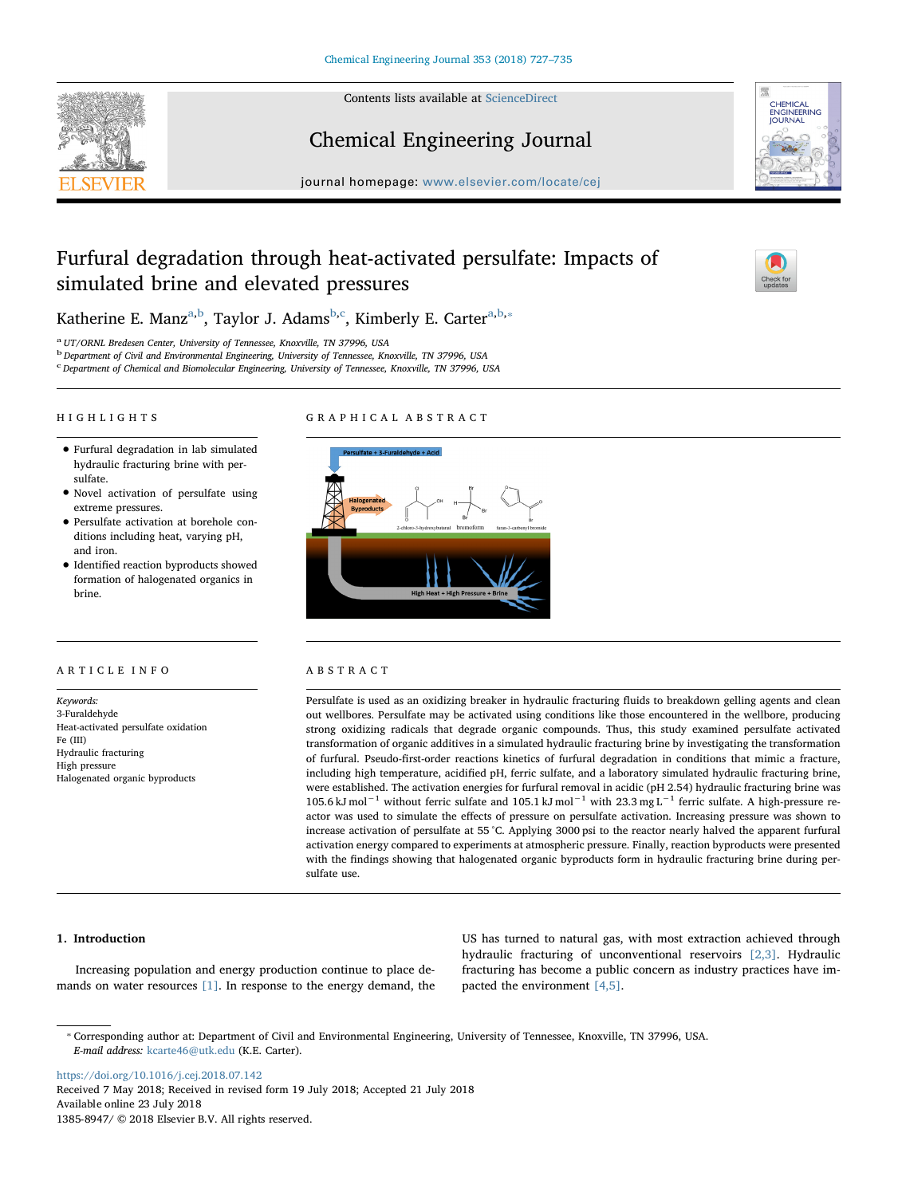

Contents lists available at [ScienceDirect](http://www.sciencedirect.com/science/journal/13858947)

# Chemical Engineering Journal



journal homepage: [www.elsevier.com/locate/cej](https://www.elsevier.com/locate/cej)

# Furfural degradation through heat-activated persulfate: Impacts of simulated brine and elevated pressures



Katherine E. Manz<sup>[a,](#page-0-0)[b](#page-0-1)</sup>, Taylor J. Adams<sup>b[,c](#page-0-2)</sup>, Kimberly E. Carter<sup>a,b,</sup>\*

<span id="page-0-0"></span><sup>a</sup> UT/ORNL Bredesen Center, University of Tennessee, Knoxville, TN 37996, USA

<span id="page-0-1"></span><sup>b</sup> Department of Civil and Environmental Engineering, University of Tennessee, Knoxville, TN 37996, USA

<span id="page-0-2"></span><sup>c</sup> Department of Chemical and Biomolecular Engineering, University of Tennessee, Knoxville, TN 37996, USA

#### HIGHLIGHTS

## GRAPHICAL ABSTRACT

- Furfural degradation in lab simulated hydraulic fracturing brine with persulfate.
- Novel activation of persulfate using extreme pressures.
- Persulfate activation at borehole conditions including heat, varying pH, and iron.
- Identified reaction byproducts showed formation of halogenated organics in brine.

## ARTICLE INFO

Keywords: 3-Furaldehyde Heat-activated persulfate oxidation Fe (III) Hydraulic fracturing High pressure Halogenated organic byproducts



# ABSTRACT

Persulfate is used as an oxidizing breaker in hydraulic fracturing fluids to breakdown gelling agents and clean out wellbores. Persulfate may be activated using conditions like those encountered in the wellbore, producing strong oxidizing radicals that degrade organic compounds. Thus, this study examined persulfate activated transformation of organic additives in a simulated hydraulic fracturing brine by investigating the transformation of furfural. Pseudo-first-order reactions kinetics of furfural degradation in conditions that mimic a fracture, including high temperature, acidified pH, ferric sulfate, and a laboratory simulated hydraulic fracturing brine, were established. The activation energies for furfural removal in acidic (pH 2.54) hydraulic fracturing brine was 105.6 kJ mol<sup>-1</sup> without ferric sulfate and 105.1 kJ mol<sup>-1</sup> with 23.3 mg L<sup>-1</sup> ferric sulfate. A high-pressure reactor was used to simulate the effects of pressure on persulfate activation. Increasing pressure was shown to increase activation of persulfate at 55 °C. Applying 3000 psi to the reactor nearly halved the apparent furfural activation energy compared to experiments at atmospheric pressure. Finally, reaction byproducts were presented with the findings showing that halogenated organic byproducts form in hydraulic fracturing brine during persulfate use.

### 1. Introduction

Increasing population and energy production continue to place demands on water resources [\[1\]](#page--1-0). In response to the energy demand, the

US has turned to natural gas, with most extraction achieved through hydraulic fracturing of unconventional reservoirs [\[2,3\]](#page--1-1). Hydraulic fracturing has become a public concern as industry practices have impacted the environment [\[4,5\].](#page--1-2)

<span id="page-0-3"></span>⁎ Corresponding author at: Department of Civil and Environmental Engineering, University of Tennessee, Knoxville, TN 37996, USA. E-mail address: [kcarte46@utk.edu](mailto:kcarte46@utk.edu) (K.E. Carter).

<https://doi.org/10.1016/j.cej.2018.07.142> Received 7 May 2018; Received in revised form 19 July 2018; Accepted 21 July 2018 Available online 23 July 2018 1385-8947/ © 2018 Elsevier B.V. All rights reserved.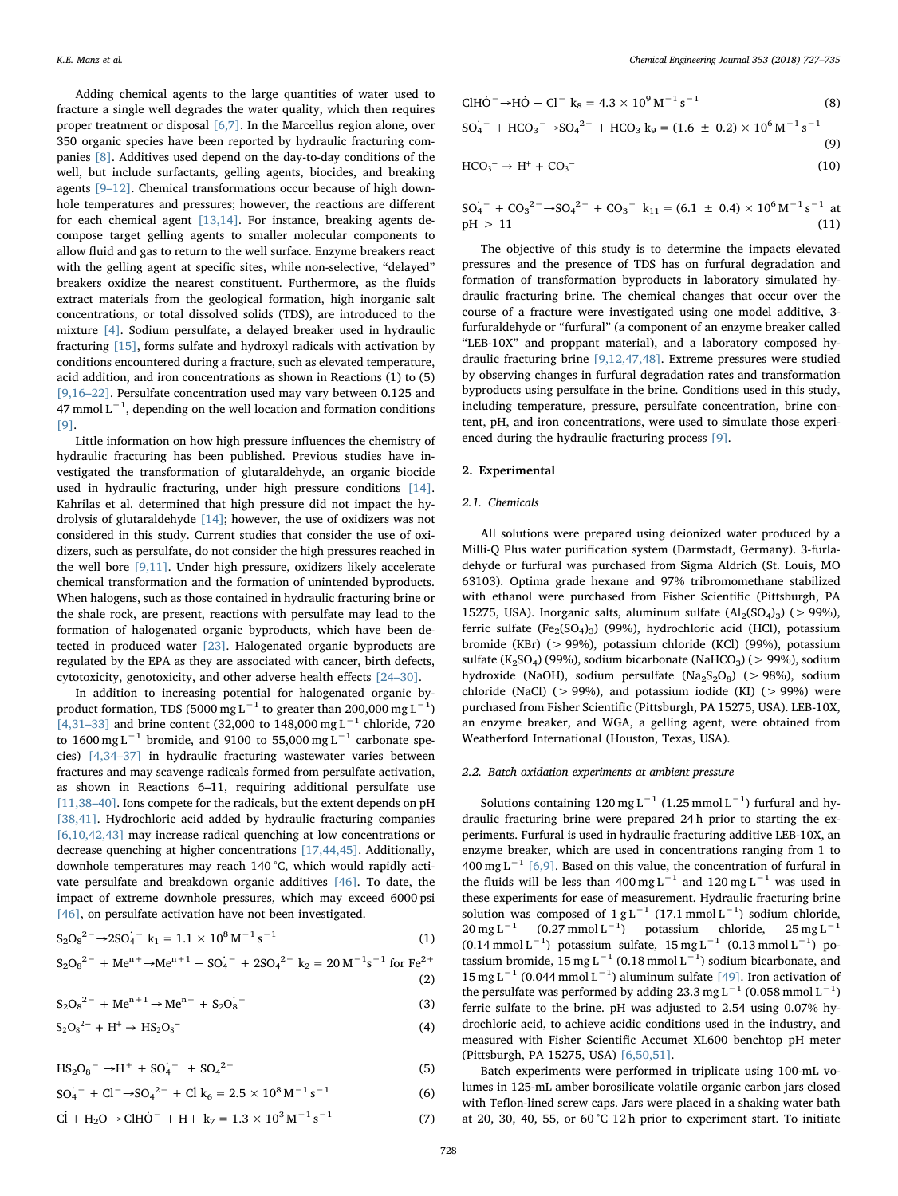Adding chemical agents to the large quantities of water used to fracture a single well degrades the water quality, which then requires proper treatment or disposal [\[6,7\]](#page--1-3). In the Marcellus region alone, over 350 organic species have been reported by hydraulic fracturing companies [\[8\]](#page--1-4). Additives used depend on the day-to-day conditions of the well, but include surfactants, gelling agents, biocides, and breaking agents [9–[12\]](#page--1-5). Chemical transformations occur because of high downhole temperatures and pressures; however, the reactions are different for each chemical agent [\[13,14\]](#page--1-6). For instance, breaking agents decompose target gelling agents to smaller molecular components to allow fluid and gas to return to the well surface. Enzyme breakers react with the gelling agent at specific sites, while non-selective, "delayed" breakers oxidize the nearest constituent. Furthermore, as the fluids extract materials from the geological formation, high inorganic salt concentrations, or total dissolved solids (TDS), are introduced to the mixture [\[4\].](#page--1-2) Sodium persulfate, a delayed breaker used in hydraulic fracturing [\[15\],](#page--1-7) forms sulfate and hydroxyl radicals with activation by conditions encountered during a fracture, such as elevated temperature, acid addition, and iron concentrations as shown in Reactions (1) to (5) [\[9,16](#page--1-5)–22]. Persulfate concentration used may vary between 0.125 and 47 mmol  $L^{-1}$ , depending on the well location and formation conditions [\[9\].](#page--1-5)

Little information on how high pressure influences the chemistry of hydraulic fracturing has been published. Previous studies have investigated the transformation of glutaraldehyde, an organic biocide used in hydraulic fracturing, under high pressure conditions [\[14\]](#page--1-8). Kahrilas et al. determined that high pressure did not impact the hydrolysis of glutaraldehyde [\[14\];](#page--1-8) however, the use of oxidizers was not considered in this study. Current studies that consider the use of oxidizers, such as persulfate, do not consider the high pressures reached in the well bore [\[9,11\].](#page--1-5) Under high pressure, oxidizers likely accelerate chemical transformation and the formation of unintended byproducts. When halogens, such as those contained in hydraulic fracturing brine or the shale rock, are present, reactions with persulfate may lead to the formation of halogenated organic byproducts, which have been detected in produced water [\[23\]](#page--1-9). Halogenated organic byproducts are regulated by the EPA as they are associated with cancer, birth defects, cytotoxicity, genotoxicity, and other adverse health effects [24–[30\].](#page--1-10)

In addition to increasing potential for halogenated organic byproduct formation, TDS (5000 mg L $^{-1}$  to greater than 200,000 mg L $^{-1})$ [\[4,31](#page--1-2)–33] and brine content (32,000 to 148,000 mg L<sup>-1</sup> chloride, 720 to 1600 mg L<sup>-1</sup> bromide, and 9100 to 55,000 mg L<sup>-1</sup> carbonate species) [\[4,34](#page--1-2)–37] in hydraulic fracturing wastewater varies between fractures and may scavenge radicals formed from persulfate activation, as shown in Reactions 6–11, requiring additional persulfate use [\[11,38](#page--1-11)–40]. Ions compete for the radicals, but the extent depends on pH [\[38,41\].](#page--1-12) Hydrochloric acid added by hydraulic fracturing companies [\[6,10,42,43\]](#page--1-3) may increase radical quenching at low concentrations or decrease quenching at higher concentrations [\[17,44,45\].](#page--1-13) Additionally, downhole temperatures may reach 140 °C, which would rapidly activate persulfate and breakdown organic additives [\[46\]](#page--1-14). To date, the impact of extreme downhole pressures, which may exceed 6000 psi [\[46\]](#page--1-14), on persulfate activation have not been investigated.

$$
S_2O_8^{2-} \to 2SO_4^{-} \text{ k}_1 = 1.1 \times 10^8 \,\text{M}^{-1} \,\text{s}^{-1} \tag{1}
$$

$$
S_2O_8^{2-} + Me^{n+} \rightarrow Me^{n+1} + SO_4^{-} + 2SO_4^{2-} k_2 = 20 M^{-1} s^{-1} \text{ for } Fe^{2+}
$$
\n(2)

$$
S_2O_8^{2-} + Me^{n+1} \to Me^{n+} + S_2O_8^{2-} \tag{3}
$$

$$
S_2O_8^{2-} + H^+ \to HS_2O_8^{-}
$$
 (4)

$$
HS_2O_8^-\rightarrow H^+ + SO_4^- + SO_4^{2-} \tag{5}
$$

$$
SO_4^- + Cl^- \rightarrow SO_4^{2-} + Cl k_6 = 2.5 \times 10^8 M^{-1} s^{-1}
$$
 (6)

$$
Cl + H2O \rightarrow ClHÖ- + H + k7 = 1.3 \times 103 M-1 s-1
$$
 (7)

$$
CIH\dot{\mathbf{O}}^{-} \to \dot{\mathbf{HO}} + Cl^{-} \mathbf{k}_{8} = 4.3 \times 10^{9} \,\mathrm{M}^{-1} \,\mathrm{s}^{-1} \tag{8}
$$

$$
SO_4^- + HCO_3^- \rightarrow SO_4^{2-} + HCO_3 k_9 = (1.6 \pm 0.2) \times 10^6 M^{-1} s^{-1}
$$
 (9)

$$
HCO_3^- \to H^+ + CO_3^- \tag{10}
$$

$$
SO_4^{\dagger-} + CO_3^{\dagger-} \rightarrow SO_4^{\dagger-} + CO_3^{\dagger} \quad k_{11} = (6.1 \pm 0.4) \times 10^6 \,\mathrm{M}^{-1} \,\mathrm{s}^{-1}
$$
 at  
pH > 11 (11)

The objective of this study is to determine the impacts elevated pressures and the presence of TDS has on furfural degradation and formation of transformation byproducts in laboratory simulated hydraulic fracturing brine. The chemical changes that occur over the course of a fracture were investigated using one model additive, 3 furfuraldehyde or "furfural" (a component of an enzyme breaker called "LEB-10X" and proppant material), and a laboratory composed hydraulic fracturing brine [\[9,12,47,48\].](#page--1-5) Extreme pressures were studied by observing changes in furfural degradation rates and transformation byproducts using persulfate in the brine. Conditions used in this study, including temperature, pressure, persulfate concentration, brine content, pH, and iron concentrations, were used to simulate those experienced during the hydraulic fracturing process [\[9\]](#page--1-5).

#### 2. Experimental

#### 2.1. Chemicals

All solutions were prepared using deionized water produced by a Milli-Q Plus water purification system (Darmstadt, Germany). 3-furladehyde or furfural was purchased from Sigma Aldrich (St. Louis, MO 63103). Optima grade hexane and 97% tribromomethane stabilized with ethanol were purchased from Fisher Scientific (Pittsburgh, PA 15275, USA). Inorganic salts, aluminum sulfate  $(Al_2(SO_4)_3)$  (> 99%), ferric sulfate (Fe<sub>2</sub>(SO<sub>4</sub>)<sub>3</sub>) (99%), hydrochloric acid (HCl), potassium bromide (KBr) (> 99%), potassium chloride (KCl) (99%), potassium sulfate (K<sub>2</sub>SO<sub>4</sub>) (99%), sodium bicarbonate (NaHCO<sub>3</sub>) (> 99%), sodium hydroxide (NaOH), sodium persulfate (Na<sub>2</sub>S<sub>2</sub>O<sub>8</sub>) (> 98%), sodium chloride (NaCl) ( $> 99\%$ ), and potassium iodide (KI) ( $> 99\%$ ) were purchased from Fisher Scientific (Pittsburgh, PA 15275, USA). LEB-10X, an enzyme breaker, and WGA, a gelling agent, were obtained from Weatherford International (Houston, Texas, USA).

#### 2.2. Batch oxidation experiments at ambient pressure

Solutions containing 120 mg L<sup>-1</sup> (1.25 mmol L<sup>-1</sup>) furfural and hydraulic fracturing brine were prepared 24 h prior to starting the experiments. Furfural is used in hydraulic fracturing additive LEB-10X, an enzyme breaker, which are used in concentrations ranging from 1 to 400 mg L<sup>-1</sup> [\[6,9\]](#page--1-3). Based on this value, the concentration of furfural in the fluids will be less than 400 mg L<sup>-1</sup> and 120 mg L<sup>-1</sup> was used in these experiments for ease of measurement. Hydraulic fracturing brine solution was composed of  $1 g L^{-1}$  (17.1 mmol L<sup>-1</sup>) sodium chloride,  $20 \text{ mg L}^{-1}$  (0.27 mmol L<sup>-1</sup>) potassium chloride, 25 mg L<sup>-1</sup>  $(0.14 \text{ mmol L}^{-1})$  potassium sulfate,  $15 \text{ mg L}^{-1}$  (0.13 mmol L<sup>-1</sup>) potassium bromide, 15 mg L<sup>-1</sup> (0.18 mmol L<sup>-1</sup>) sodium bicarbonate, and 15 mg L<sup>-1</sup> (0.044 mmol L<sup>-1</sup>) aluminum sulfate [\[49\]](#page--1-15). Iron activation of the persulfate was performed by adding 23.3 mg L<sup>-1</sup> (0.058 mmol L<sup>-1</sup>) ferric sulfate to the brine. pH was adjusted to 2.54 using 0.07% hydrochloric acid, to achieve acidic conditions used in the industry, and measured with Fisher Scientific Accumet XL600 benchtop pH meter (Pittsburgh, PA 15275, USA) [\[6,50,51\]](#page--1-3).

Batch experiments were performed in triplicate using 100-mL volumes in 125-mL amber borosilicate volatile organic carbon jars closed with Teflon-lined screw caps. Jars were placed in a shaking water bath at 20, 30, 40, 55, or 60 °C 12 h prior to experiment start. To initiate